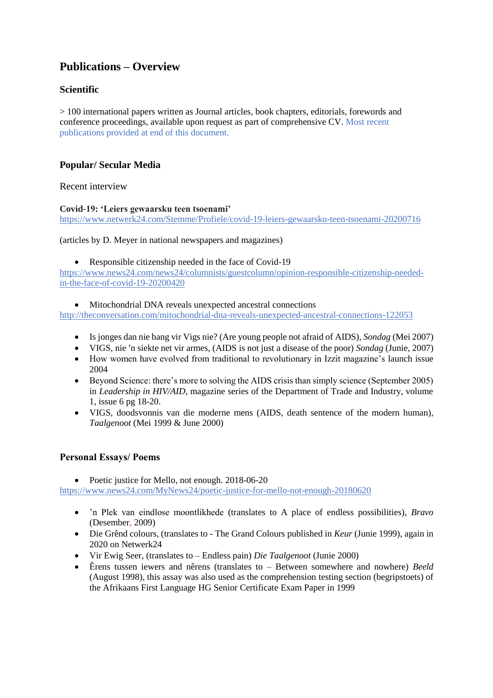# **Publications – Overview**

## **Scientific**

> 100 international papers written as Journal articles, book chapters, editorials, forewords and conference proceedings, available upon request as part of comprehensive CV. Most recent publications provided at end of this document.

## **Popular/ Secular Media**

Recent interview

#### **Covid-19: 'Leiers gewaarsku teen tsoenami'**

<https://www.netwerk24.com/Stemme/Profiele/covid-19-leiers-gewaarsku-teen-tsoenami-20200716>

(articles by D. Meyer in national newspapers and magazines)

• Responsible citizenship needed in the face of Covid-19

[https://www.news24.com/news24/columnists/guestcolumn/opinion-responsible-citizenship-needed](https://www.news24.com/news24/columnists/guestcolumn/opinion-responsible-citizenship-needed-in-the-face-of-covid-19-20200420)[in-the-face-of-covid-19-20200420](https://www.news24.com/news24/columnists/guestcolumn/opinion-responsible-citizenship-needed-in-the-face-of-covid-19-20200420)

Mitochondrial DNA reveals unexpected ancestral connections

<http://theconversation.com/mitochondrial-dna-reveals-unexpected-ancestral-connections-122053>

- Is jonges dan nie bang vir Vigs nie? (Are young people not afraid of AIDS), *Sondag* (Mei 2007)
- VIGS, nie 'n siekte net vir armes, (AIDS is not just a disease of the poor) *Sondag* (Junie, 2007)
- How women have evolved from traditional to revolutionary in Izzit magazine's launch issue 2004
- Beyond Science: there's more to solving the AIDS crisis than simply science (September 2005) in *Leadership in HIV/AID,* magazine series of the Department of Trade and Industry, volume 1, issue 6 pg 18-20.
- VIGS, doodsvonnis van die moderne mens (AIDS, death sentence of the modern human), *Taalgenoot* (Mei 1999 & June 2000)

### **Personal Essays/ Poems**

• Poetic justice for Mello, not enough. 2018-06-20

<https://www.news24.com/MyNews24/poetic-justice-for-mello-not-enough-20180620>

- 'n Plek van eindlose moontlikhede (translates to A place of endless possibilities), *Bravo* (Desember, 2009)
- Die Grênd colours, (translates to The Grand Colours published in *Keur* (Junie 1999), again in 2020 on Netwerk24
- Vir Ewig Seer, (translates to Endless pain) *Die Taalgenoot* (Junie 2000)
- Ěrens tussen iewers and nêrens (translates to Between somewhere and nowhere) *Beeld* (August 1998), this assay was also used as the comprehension testing section (begripstoets) of the Afrikaans First Language HG Senior Certificate Exam Paper in 1999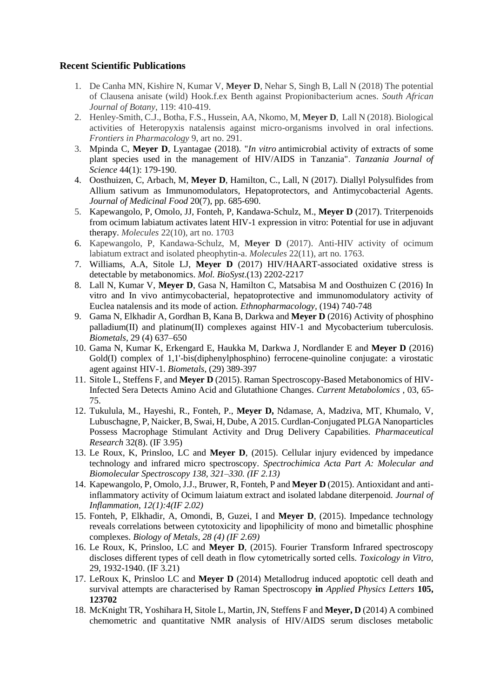#### **Recent Scientific Publications**

- 1. De Canha MN, Kishire N, Kumar V, **Meyer D**, Nehar S, Singh B, Lall N (2018) The potential of Clausena anisate (wild) Hook.f.ex Benth against Propionibacterium acnes. *South African Journal of Botany*, 119: 410-419.
- 2. Henley-Smith, C.J., Botha, F.S., Hussein, AA, Nkomo, M, **Meyer D**, Lall N (2018). Biological activities of Heteropyxis natalensis against micro-organisms involved in oral infections. *Frontiers in Pharmacology* 9, art no. 291.
- 3. Mpinda C, **Meyer D**, Lyantagae (2018)*.* "*In vitro* antimicrobial activity of extracts of some plant species used in the management of HIV/AIDS in Tanzania". *Tanzania Journal of Science* 44(1): 179-190.
- 4. Oosthuizen, C, Arbach, M, **Meyer D**, Hamilton, C., Lall, N (2017). Diallyl Polysulfides from Allium sativum as Immunomodulators, Hepatoprotectors, and Antimycobacterial Agents. *Journal of Medicinal Food* 20(7), pp. 685-690.
- 5. Kapewangolo, P, Omolo, JJ, Fonteh, P, Kandawa-Schulz, M., **Meyer D** (2017). Triterpenoids from ocimum labiatum activates latent HIV-1 expression in vitro: Potential for use in adjuvant therapy. *Molecules* 22(10), art no. 1703
- 6. Kapewangolo, P, Kandawa-Schulz, M, **Meyer D** (2017). Anti-HIV activity of ocimum labiatum extract and isolated pheophytin-a. *Molecules* 22(11), art no. 1763.
- 7. Williams, A.A, Sitole LJ, **Meyer D** (2017) HIV/HAART-associated oxidative stress is detectable by metabonomics. *Mol. BioSyst*.(13) 2202-2217
- 8. Lall N, Kumar V, **Meyer D**, Gasa N, Hamilton C, Matsabisa M and Oosthuizen C (2016) In vitro and In vivo antimycobacterial, hepatoprotective and immunomodulatory activity of Euclea natalensis and its mode of action. *Ethnopharmacology,* (194) 740-748
- 9. Gama N, Elkhadir A, Gordhan B, Kana B, Darkwa and **Meyer D** (2016) Activity of phosphino palladium(II) and platinum(II) complexes against HIV-1 and Mycobacterium tuberculosis. *Biometals*, 29 (4) 637–650
- 10. Gama N, Kumar K, Erkengard E, Haukka M, Darkwa J, Nordlander E and **Meyer D** (2016) Gold(I) complex of 1,1'-bis(diphenylphosphino) ferrocene-quinoline conjugate: a virostatic agent against HIV-1. *Biometals*, (29) 389-397
- 11. Sitole L, Steffens F, and **Meyer D** (2015). Raman Spectroscopy-Based Metabonomics of HIV-Infected Sera Detects Amino Acid and Glutathione Changes. *Current Metabolomics* , 03, 65- 75.
- 12. Tukulula, M., Hayeshi, R., Fonteh, P., **Meyer D,** Ndamase, A, Madziva, MT, Khumalo, V, Lubuschagne, P, Naicker, B, Swai, H, Dube, A 2015. Curdlan-Conjugated PLGA Nanoparticles Possess Macrophage Stimulant Activity and Drug Delivery Capabilities. *Pharmaceutical Research* 32(8). (IF 3.95)
- 13. Le Roux, K, Prinsloo, LC and **Meyer D**, (2015). Cellular injury evidenced by impedance technology and infrared micro spectroscopy. *Spectrochimica Acta Part A: Molecular and Biomolecular Spectroscopy 138, 321–330. (IF 2.13)*
- 14. Kapewangolo, P, Omolo, J.J., Bruwer, R, Fonteh, P and **Meyer D** (2015). Antioxidant and antiinflammatory activity of Ocimum laiatum extract and isolated labdane diterpenoid. *Journal of Inflammation, 12(1):4(IF 2.02)*
- 15. Fonteh, P, Elkhadir, A, Omondi, B, Guzei, I and **Meyer D**, (2015). Impedance technology reveals correlations between cytotoxicity and lipophilicity of mono and bimetallic phosphine complexes. *Biology of Metals, 28 (4) (IF 2.69)*
- 16. Le Roux, K, Prinsloo, LC and **Meyer D**, (2015). Fourier Transform Infrared spectroscopy discloses different types of cell death in flow cytometrically sorted cells. *Toxicology in Vitro,* 29, 1932-1940. (IF 3.21)
- 17. LeRoux K, Prinsloo LC and **Meyer D** (2014) Metallodrug induced apoptotic cell death and survival attempts are characterised by Raman Spectroscopy **in** *Applied Physics Letters* **105, 123702**
- 18. McKnight TR, Yoshihara H, Sitole L, Martin, JN, Steffens F and **Meyer, D** (2014) A combined chemometric and quantitative NMR analysis of HIV/AIDS serum discloses metabolic